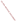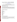# **Consumer Factsheet on: HEXACHLOROBENZENE**

#### [List of Contaminants](http://www.epa.gov/safewater/hfacts.html)

 As part of the Drinking Water and Health pages, this fact sheet is part of a larger publication: **National Primary Drinking Water Regulations** 

 It may cause health problems if found in amounts greater than the health standard set by the United States Environmental Protection Agency (EPA). This is a factsheet about a chemical that may be found in some public or private drinking water supplies.

#### **What is HCB and how is it used?**

 Hexachlorobenzene (HCB) is an organic solid of white crystalline needles. It is produced as a by-product rubber, dyes, wood preservatives. Other uses of include: as a fungicide on grains, especially wheat. from the manufacture of a variety of other regulated organic chemicals. It is also a contaminant in the production of some pesticides. The greatest use of HCB is in making other organic compounds such as

 The list of trade names given below may help you find out whether you are using this chemical at home or work.

#### **Trade Names and Synonyms:**

 Pentachlorophenyl chloride Hexa CB HCB Phenyl perchloryl Perchlorobenzene Anticarie Bunt-cure Co-op hexa Julin's carbon chloride No bunt 40 No bunt 80 Sanocide Snieciotox Smut-go Granox nm Voronit C

# **Why is HCB being Regulated?**

 In 1974, Congress passed the Safe Drinking Water Act. This law requires EPA to determine safe levels of based solely on possible health risks and exposure, are called Maximum Contaminant Level Goals. chemicals in drinking water which do or may cause health problems. These non-enforceable levels,

The MCLG for HCB has been set at zero because EPA believes this level of protection would not cause any of the potential health problems described below.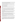Based on this MCLG, EPA has set an enforceable standard called a Maximum Contaminant Level (MCL). MCLs are set as close to the MCLGs as possible, considering the ability of public water systems to detect and remove contaminants using suitable treatment technologies.

 contaminant should it occur in drinking water. The MCL has been set at 1 part per billion (ppb) because EPA believes, given present technology and resources, this is the lowest level to which water systems can reasonably be required to remove this

These drinking water standards and the regulations for ensuring these standards are met, are called National Primary Drinking Water Regulations. All public water supplies must abide by these regulations.

### **What are the Health Effects?**

Short-term: EPA has found HCB to potentially cause the following health effects when people are exposed to it at levels above the MCL for relatively short periods of time: skin lesions, nerve and liver damage.

Long-term: HCB has the potential to cause the following effects from a lifetime exposure at levels above the MCL: damage to liver and kidneys; reproductive effects; benign tumors of endocrine glands; cancer.

# **How much HCB is produced and released to the environment?**

 However, 2 to 5 million lbs may be generated each year as a waste by-product of chlorination processes In 1982, imports were reported to be 38,000 lbs, with no evidence of commercial domestic production. in chemical manufacture.

Major environmental releases of HCB are due to air and water discharges from its production as a byproduct of chemical manufacture, or from pesticide applications. It is also released by some waste incineration processes. It has been detected in treated waste water from non-ferrous metal manufacturing.

From 1987 to 1993, according to EPA's Toxic Chemical Release Inventory, HCB releases to land and water totalled 1,287 lbs., all of which was to water. These releases were primarily from alkali, chlorine and agricultural chemical industries. The largest releases occurred in Louisiana and Texas.

### **What happens to HCB when it is released to the environment?**

 migrate through soil to ground water. HCB is a very persistent environmental chemical due to its chemical stability and resistance to break down by microbes in soil or water. HCB strongly to soils and to lake and river sediments. It is not likely to

Hexachlorobenzene will accumulate in fish. It has been detected in food during market basket surveys.

### **How will HCB be Detected in and Removed from My Drinking Water?**

 The regulation for HCB became effective in 1994. Between 1993 and 1995, EPA required your water supplier to collect water samples every 3 months for one year and analyze them to find out if HCB is contaminant. present above 0.1 ppb. If it is present above this level, the system must continue to monitor this